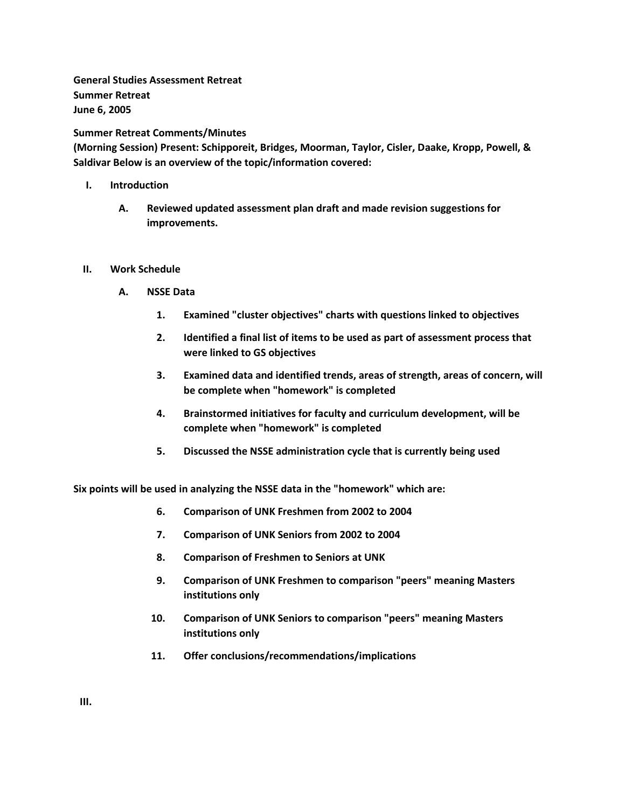**General Studies Assessment Retreat Summer Retreat June 6, 2005**

**Summer Retreat Comments/Minutes**

**(Morning Session) Present: Schipporeit, Bridges, Moorman, Taylor, Cisler, Daake, Kropp, Powell, & Saldivar Below is an overview of the topic/information covered:**

- **I. Introduction** 
	- **A. Reviewed updated assessment plan draft and made revision suggestions for improvements.**
- **II. Work Schedule** 
	- **A. NSSE Data** 
		- **1. Examined "cluster objectives" charts with questions linked to objectives**
		- **2. Identified a final list of items to be used as part of assessment process that were linked to GS objectives**
		- **3. Examined data and identified trends, areas of strength, areas of concern, will be complete when "homework" is completed**
		- **4. Brainstormed initiatives for faculty and curriculum development, will be complete when "homework" is completed**
		- **5. Discussed the NSSE administration cycle that is currently being used**

**Six points will be used in analyzing the NSSE data in the "homework" which are:** 

- **6. Comparison of UNK Freshmen from 2002 to 2004**
- **7. Comparison of UNK Seniors from 2002 to 2004**
- **8. Comparison of Freshmen to Seniors at UNK**
- **9. Comparison of UNK Freshmen to comparison "peers" meaning Masters institutions only**
- **10. Comparison of UNK Seniors to comparison "peers" meaning Masters institutions only**
- **11. Offer conclusions/recommendations/implications**